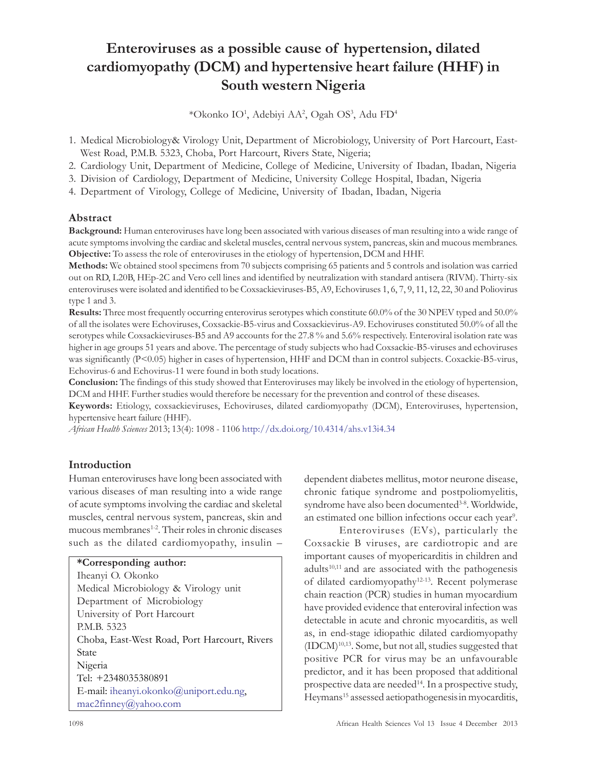# Enteroviruses as a possible cause of hypertension, dilated cardiomyopathy (DCM) and hypertensive heart failure (HHF) in South western Nigeria

\*Okonko IO<sup>1</sup> , Adebiyi AA<sup>2</sup> , Ogah OS<sup>3</sup> , Adu FD<sup>4</sup>

- 1. Medical Microbiology& Virology Unit, Department of Microbiology, University of Port Harcourt, East-West Road, P.M.B. 5323, Choba, Port Harcourt, Rivers State, Nigeria;
- 2. Cardiology Unit, Department of Medicine, College of Medicine, University of Ibadan, Ibadan, Nigeria
- 3. Division of Cardiology, Department of Medicine, University College Hospital, Ibadan, Nigeria
- 4. Department of Virology, College of Medicine, University of Ibadan, Ibadan, Nigeria

## Abstract

Background: Human enteroviruses have long been associated with various diseases of man resulting into a wide range of acute symptoms involving the cardiac and skeletal muscles, central nervous system, pancreas, skin and mucous membranes. Objective: To assess the role of enteroviruses in the etiology of hypertension, DCM and HHF.

Methods: We obtained stool specimens from 70 subjects comprising 65 patients and 5 controls and isolation was carried out on RD, L20B, HEp-2C and Vero cell lines and identified by neutralization with standard antisera (RIVM). Thirty-six enteroviruses were isolated and identified to be Coxsackieviruses-B5, A9, Echoviruses 1, 6, 7, 9, 11, 12, 22, 30 and Poliovirus type 1 and 3.

Results: Three most frequently occurring enterovirus serotypes which constitute 60.0% of the 30 NPEV typed and 50.0% of all the isolates were Echoviruses, Coxsackie-B5-virus and Coxsackievirus-A9. Echoviruses constituted 50.0% of all the serotypes while Coxsackieviruses-B5 and A9 accounts for the 27.8 % and 5.6% respectively. Enteroviral isolation rate was higher in age groups 51 years and above. The percentage of study subjects who had Coxsackie-B5-viruses and echoviruses was significantly (P<0.05) higher in cases of hypertension, HHF and DCM than in control subjects. Coxackie-B5-virus, Echovirus-6 and Echovirus-11 were found in both study locations.

Conclusion: The findings of this study showed that Enteroviruses may likely be involved in the etiology of hypertension, DCM and HHF. Further studies would therefore be necessary for the prevention and control of these diseases.

Keywords: Etiology, coxsackieviruses, Echoviruses, dilated cardiomyopathy (DCM), Enteroviruses, hypertension, hypertensive heart failure (HHF).

African Health Sciences 2013; 13(4): 1098 - 1106 http://dx.doi.org/10.4314/ahs.v13i4.34

# Introduction

Human enteroviruses have long been associated with various diseases of man resulting into a wide range of acute symptoms involving the cardiac and skeletal muscles, central nervous system, pancreas, skin and mucous membranes<sup>1-2</sup>. Their roles in chronic diseases such as the dilated cardiomyopathy, insulin –

# \*Corresponding author:

| Iheanyi O. Okonko                            |
|----------------------------------------------|
| Medical Microbiology & Virology unit         |
| Department of Microbiology                   |
| University of Port Harcourt                  |
| P.M.B. 5323                                  |
| Choba, East-West Road, Port Harcourt, Rivers |
| State                                        |
| Nigeria                                      |
| Tel: +2348035380891                          |
| E-mail: iheanyi.okonko@uniport.edu.ng,       |
| $mac2f$ inney@yahoo.com                      |

dependent diabetes mellitus, motor neurone disease, chronic fatique syndrome and postpoliomyelitis, syndrome have also been documented<sup>3-8</sup>. Worldwide, an estimated one billion infections occur each year<sup>9</sup>.

Enteroviruses (EVs), particularly the Coxsackie B viruses, are cardiotropic and are important causes of myopericarditis in children and adults $10,11$  and are associated with the pathogenesis of dilated cardiomyopathy<sup>12-13</sup>. Recent polymerase chain reaction (PCR) studies in human myocardium have provided evidence that enteroviral infection was detectable in acute and chronic myocarditis, as well as, in end-stage idiopathic dilated cardiomyopathy (IDCM)10,13 . Some, but not all, studies suggested that positive PCR for virus may be an unfavourable predictor, and it has been proposed that additional prospective data are needed<sup>14</sup>. In a prospective study, Heymans<sup>15</sup> assessed aetiopathogenesis in myocarditis,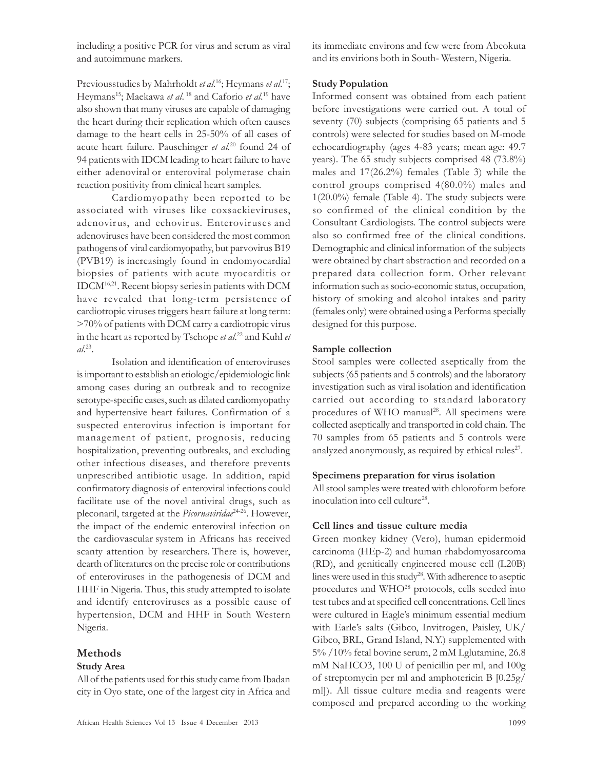including a positive PCR for virus and serum as viral and autoimmune markers.

Previousstudies by Mahrholdt et al.<sup>16</sup>; Heymans et al.<sup>17</sup>; Heymans<sup>15</sup>; Maekawa et al.<sup>18</sup> and Caforio et al.<sup>19</sup> have also shown that many viruses are capable of damaging the heart during their replication which often causes damage to the heart cells in 25-50% of all cases of acute heart failure. Pauschinger et al.<sup>20</sup> found 24 of 94 patientswith IDCM leading to heart failure to have either adenoviral or enteroviral polymerase chain reaction positivity from clinical heart samples.

Cardiomyopathy been reported to be associated with viruses like coxsackieviruses, adenovirus, and echovirus. Enteroviruses and adenoviruses have been considered the most common pathogensof viral cardiomyopathy, but parvovirus B19 (PVB19) is increasingly found in endomyocardial biopsies of patients with acute myocarditis or IDCM16,21. Recent biopsy seriesin patients with DCM have revealed that long-term persistence of cardiotropic viruses triggers heart failure at long term: >70% of patients with DCM carry a cardiotropic virus in the heart as reported by Tschope et al.<sup>22</sup> and Kuhl et  $al.^{23}$ .

Isolation and identification of enteroviruses is important to establish an etiologic/epidemiologic link among cases during an outbreak and to recognize serotype-specific cases, such as dilated cardiomyopathy and hypertensive heart failures. Confirmation of a suspected enterovirus infection is important for management of patient, prognosis, reducing hospitalization, preventing outbreaks, and excluding other infectious diseases, and therefore prevents unprescribed antibiotic usage. In addition, rapid confirmatory diagnosis of enteroviral infections could facilitate use of the novel antiviral drugs, such as pleconaril, targeted at the *Picornaviridae*<sup>24-26</sup>. However, the impact of the endemic enteroviral infection on the cardiovascular system in Africans has received scanty attention by researchers. There is, however, dearth of literatures on the precise role or contributions of enteroviruses in the pathogenesis of DCM and HHF in Nigeria. Thus, this study attempted to isolate and identify enteroviruses as a possible cause of hypertension, DCM and HHF in South Western Nigeria.

#### Methods

#### Study Area

All of the patients used for this study came from Ibadan city in Oyo state, one of the largest city in Africa and its immediate environs and few were from Abeokuta and its envirions both in South- Western, Nigeria.

#### Study Population

Informed consent was obtained from each patient before investigations were carried out. A total of seventy (70) subjects (comprising 65 patients and 5 controls) were selected for studies based on M-mode echocardiography (ages 4-83 years; mean age: 49.7 years). The 65 study subjects comprised 48 (73.8%) males and 17(26.2%) females (Table 3) while the control groups comprised 4(80.0%) males and 1(20.0%) female (Table 4). The study subjects were so confirmed of the clinical condition by the Consultant Cardiologists. The control subjects were also so confirmed free of the clinical conditions. Demographic and clinical information of the subjects were obtained by chart abstraction and recorded on a prepared data collection form. Other relevant information such as socio-economic status, occupation, history of smoking and alcohol intakes and parity (females only) were obtained using a Performa specially designed for this purpose.

#### Sample collection

Stool samples were collected aseptically from the subjects (65 patients and 5 controls) and the laboratory investigation such as viral isolation and identification carried out according to standard laboratory procedures of WHO manual<sup>28</sup>. All specimens were collected aseptically and transported in cold chain. The 70 samples from 65 patients and 5 controls were analyzed anonymously, as required by ethical rules<sup>27</sup>.

#### Specimens preparation for virus isolation

All stool samples were treated with chloroform before inoculation into cell culture<sup>28</sup>.

#### Cell lines and tissue culture media

Green monkey kidney (Vero), human epidermoid carcinoma (HEp-2) and human rhabdomyosarcoma (RD), and genitically engineered mouse cell (L20B) lines were used in this study<sup>28</sup>. With adherence to aseptic procedures and WHO<sup>28</sup> protocols, cells seeded into test tubes and at specified cell concentrations. Cell lines were cultured in Eagle's minimum essential medium with Earle's salts (Gibco, Invitrogen, Paisley, UK/ Gibco, BRL, Grand Island, N.Y.) supplemented with 5% /10% fetal bovine serum, 2 mM Lglutamine, 26.8 mM NaHCO3, 100 U of penicillin per ml, and 100g of streptomycin per ml and amphotericin B [0.25g/ ml]). All tissue culture media and reagents were composed and prepared according to the working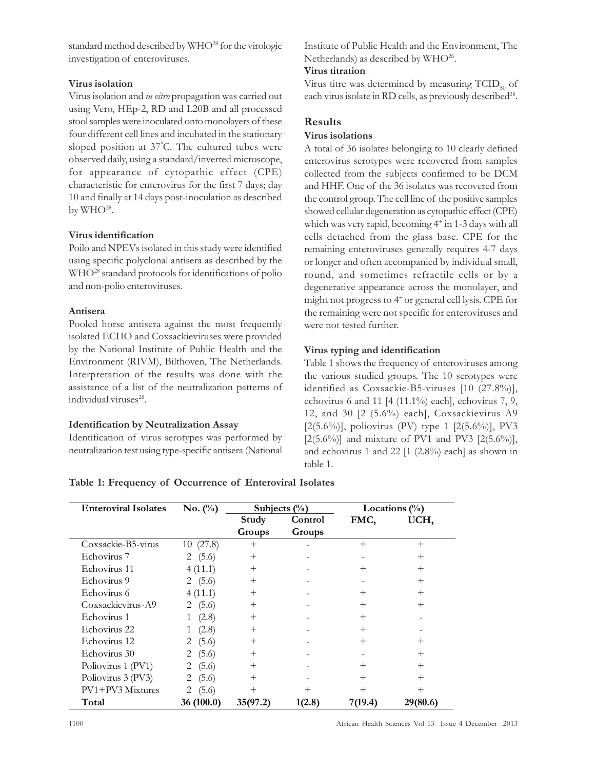standard method described by WHO<sup>28</sup> for the virologic investigation of enteroviruses.

#### Virus isolation

Virus isolation and in vitro propagation was carried out using Vero, HEp-2, RD and L20B and all processed stool samples were inoculated onto monolayers of these four different cell lines and incubated in the stationary sloped position at 37°C. The cultured tubes were observed daily, using a standard/inverted microscope, for appearance of cytopathic effect (CPE) characteristic for enterovirus for the first 7 days; day 10 and finally at 14 days post-inoculation as described by  $\rm WHO^{28}.$ 

#### Virus identification

Poilo and NPEVs isolated in this study were identified using specific polyclonal antisera as described by the WHO<sup>28</sup> standard protocols for identifications of polio and non-polio enteroviruses.

#### Antisera

Pooled horse antisera against the most frequently isolated ECHO and Coxsackieviruses were provided by the National Institute of Public Health and the Environment (RIVM), Bilthoven, The Netherlands. Interpretation of the results was done with the assistance of a list of the neutralization patterns of individual viruses<sup>28</sup>.

#### Identification by Neutralization Assay

Identification of virus serotypes was performed by neutralization test using type-specific antisera (National Institute of Public Health and the Environment, The Netherlands) as described by WHO<sup>28</sup>.

#### Virus titration

Virus titre was determined by measuring  $TCID_{50}$  of each virus isolate in RD cells, as previously described<sup>28</sup>.

## Results

#### Virus isolations

A total of 36 isolates belonging to 10 clearly defined enterovirus serotypes were recovered from samples collected from the subjects confirmed to be DCM and HHF. One of the 36 isolates was recovered from the control group. The cell line of the positive samples showed cellular degeneration as cytopathic effect (CPE) which was very rapid, becoming 4<sup>+</sup> in 1-3 days with all cells detached from the glass base. CPE for the remaining enteroviruses generally requires 4-7 days or longer and often accompanied by individual small, round, and sometimes refractile cells or by a degenerative appearance across the monolayer, and might not progress to 4<sup>+</sup>or general cell lysis. CPE for the remaining were not specific for enteroviruses and were not tested further.

## Virus typing and identification

Table 1 shows the frequency of enteroviruses among the various studied groups. The 10 serotypes were identified as Coxsackie-B5-viruses [10 (27.8%)], echovirus 6 and 11 [4 (11.1%) each], echovirus 7, 9, 12, and 30 [2 (5.6%) each], Coxsackievirus A9 [2(5.6%)], poliovirus (PV) type 1 [2(5.6%)], PV3  $[2(5.6\%)]$  and mixture of PV1 and PV3  $[2(5.6\%)]$ , and echovirus 1 and 22 [1 (2.8%) each] as shown in table 1.

Table 1: Frequency of Occurrence of Enteroviral Isolates

| <b>Enteroviral Isolates</b> | $No. (^{\%})$ | Subjects $(\%)$    |         |                    | Locations $(\%)$   |
|-----------------------------|---------------|--------------------|---------|--------------------|--------------------|
|                             |               | Study              | Control | FMC,               | UCH,               |
|                             |               | Groups             | Groups  |                    |                    |
| Coxsackie-B5-virus          | 10(27.8)      | $^{+}$             |         | $\pm$              | $^{+}$             |
| Echovirus 7                 | (5.6)<br>2    | $^{+}$             |         |                    | $^{+}$             |
| Echovirus 11                | 4(11.1)       | $\hspace{0.1mm} +$ |         | $\pm$              | $\, +$             |
| Echovirus 9                 | 2 $(5.6)$     | $^{+}$             |         |                    | $^{+}$             |
| Echovirus 6                 | 4(11.1)       | $^{+}$             |         | $\pm$              | $^{+}$             |
| Coxsackievirus-A9           | (5.6)<br>2    | $\hspace{0.1mm} +$ |         | $^{+}$             |                    |
| Echovirus 1                 | (2.8)         | $^{+}$             |         | $\pm$              |                    |
| Echovirus 22                | (2.8)         | $^{+}$             |         | $\hspace{0.1mm} +$ |                    |
| Echovirus 12                | (5.6)<br>2    | $\pm$              |         | $\pm$              | ╇                  |
| Echovirus 30                | (5.6)<br>2    | $^{+}$             |         |                    | $^{+}$             |
| Poliovirus 1 (PV1)          | (5.6)<br>2    | $\,+\,$            |         | $\pm$              | $^{+}$             |
| Poliovirus 3 (PV3)          | (5.6)<br>2    | $\pm$              |         | $^+$               | $\hspace{0.1mm} +$ |
| PV1+PV3 Mixtures            | (5.6)<br>2    | $^{+}$             | $^{+}$  | $\pm$              | $^{+}$             |
| Total                       | 36(100.0)     | 35(97.2)           | 1(2.8)  | 7(19.4)            | 29(80.6)           |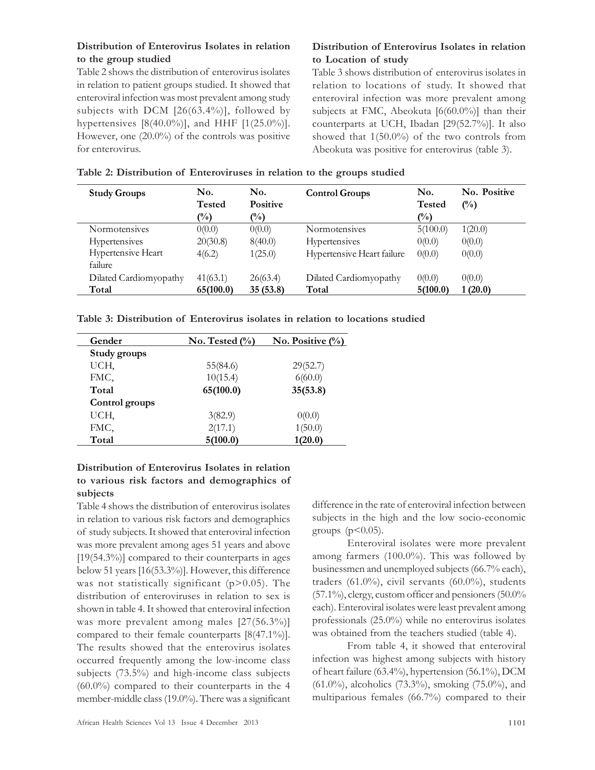### Distribution of Enterovirus Isolates in relation to the group studied

Table 2 shows the distribution of enterovirus isolates in relation to patient groups studied. It showed that enteroviral infection was most prevalent among study subjects with DCM [26(63.4%)], followed by hypertensives [8(40.0%)], and HHF [1(25.0%)]. However, one (20.0%) of the controls was positive for enterovirus.

#### Distribution of Enterovirus Isolates in relation to Location of study

Table 3 shows distribution of enterovirus isolates in relation to locations of study. It showed that enteroviral infection was more prevalent among subjects at FMC, Abeokuta [6(60.0%)] than their counterparts at UCH, Ibadan [29(52.7%)]. It also showed that 1(50.0%) of the two controls from Abeokuta was positive for enterovirus (table 3).

| No.           | No.             | <b>Control Groups</b>      | No.            | No. Positive   |
|---------------|-----------------|----------------------------|----------------|----------------|
| <b>Tested</b> | <b>Positive</b> |                            | <b>Tested</b>  | $\binom{0}{0}$ |
| $(\%)$        | $(\%)$          |                            | $\binom{0}{0}$ |                |
| 0(0.0)        | 0(0.0)          | Normotensives              | 5(100.0)       | 1(20.0)        |
| 20(30.8)      | 8(40.0)         | <b>Hypertensives</b>       | 0(0.0)         | 0(0.0)         |
| 4(6.2)        | 1(25.0)         | Hypertensive Heart failure | 0(0.0)         | 0(0.0)         |
|               |                 |                            |                |                |
| 41(63.1)      | 26(63.4)        | Dilated Cardiomyopathy     | 0(0.0)         | 0(0.0)         |
| 65(100.0)     | 35(53.8)        | Total                      | 5(100.0)       | 1(20.0)        |
|               |                 |                            |                |                |

| Gender         | No. Tested $(\%)$ | No. Positive $(\%)$ |
|----------------|-------------------|---------------------|
| Study groups   |                   |                     |
| UCH,           | 55(84.6)          | 29(52.7)            |
| FMC,           | 10(15.4)          | 6(60.0)             |
| Total          | 65(100.0)         | 35(53.8)            |
| Control groups |                   |                     |
| UCH,           | 3(82.9)           | 0(0.0)              |
| FMC,           | 2(17.1)           | 1(50.0)             |
| Total          | 5(100.0)          | 1(20.0)             |

# Distribution of Enterovirus Isolates in relation to various risk factors and demographics of subjects

Table 4 shows the distribution of enterovirus isolates in relation to various risk factors and demographics of study subjects. It showed that enteroviral infection was more prevalent among ages 51 years and above  $[19(54.3\%)$ ] compared to their counterparts in ages below 51 years [16(53.3%)]. However, this difference was not statistically significant ( $p$ >0.05). The distribution of enteroviruses in relation to sex is shown in table 4. It showed that enteroviral infection was more prevalent among males [27(56.3%)] compared to their female counterparts [8(47.1%)]. The results showed that the enterovirus isolates occurred frequently among the low-income class subjects (73.5%) and high-income class subjects  $(60.0\%)$  compared to their counterparts in the 4 member-middle class (19.0%). There was a significant difference in the rate of enteroviral infection between subjects in the high and the low socio-economic groups  $(p<0.05)$ .

Enteroviral isolates were more prevalent among farmers (100.0%). This was followed by businessmen and unemployed subjects (66.7% each), traders  $(61.0\%)$ , civil servants  $(60.0\%)$ , students  $(57.1\%)$ , clergy, custom officer and pensioners  $(50.0\%$ each). Enteroviral isolates were least prevalent among professionals (25.0%) while no enterovirus isolates was obtained from the teachers studied (table 4).

From table 4, it showed that enteroviral infection was highest among subjects with history of heart failure (63.4%), hypertension (56.1%), DCM (61.0%), alcoholics (73.3%), smoking (75.0%), and multiparious females (66.7%) compared to their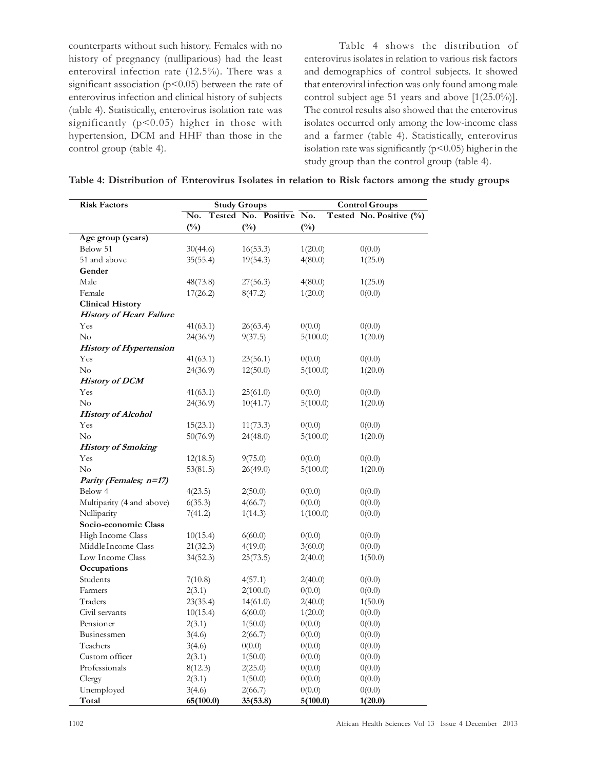counterparts without such history. Females with no history of pregnancy (nulliparious) had the least enteroviral infection rate (12.5%). There was a significant association  $(p<0.05)$  between the rate of enterovirus infection and clinical history of subjects (table 4). Statistically, enterovirus isolation rate was significantly (p<0.05) higher in those with hypertension, DCM and HHF than those in the control group (table 4).

Table 4 shows the distribution of enterovirus isolates in relation to various risk factors and demographics of control subjects. It showed that enteroviral infection was only found among male control subject age 51 years and above [1(25.0%)]. The control results also showed that the enterovirus isolates occurred only among the low-income class and a farmer (table 4). Statistically, enterovirus isolation rate was significantly ( $p$ <0.05) higher in the study group than the control group (table 4).

| <b>Risk Factors</b>             |                     | <b>Study Groups</b>     | <b>Control Groups</b> |                         |  |
|---------------------------------|---------------------|-------------------------|-----------------------|-------------------------|--|
|                                 | No.                 | Tested No. Positive No. |                       | Tested No. Positive (%) |  |
|                                 | $(^{0}/_{0})$       | $(^{0}_{0})$            | $(^{0}/_{0})$         |                         |  |
| Age group (years)               |                     |                         |                       |                         |  |
| Below 51                        | 30(44.6)            | 16(53.3)                | 1(20.0)               | 0(0.0)                  |  |
| 51 and above                    | 35(55.4)            | 19(54.3)                | 4(80.0)               | 1(25.0)                 |  |
| Gender                          |                     |                         |                       |                         |  |
| Male                            | 48(73.8)            | 27(56.3)                | 4(80.0)               | 1(25.0)                 |  |
| Female                          | 17(26.2)            | 8(47.2)                 | 1(20.0)               | 0(0.0)                  |  |
| <b>Clinical History</b>         |                     |                         |                       |                         |  |
| <b>History of Heart Failure</b> |                     |                         |                       |                         |  |
| Yes                             | 41(63.1)            | 26(63.4)                | 0(0.0)                | 0(0.0)                  |  |
| No                              | 24(36.9)            | 9(37.5)                 | 5(100.0)              | 1(20.0)                 |  |
| <b>History of Hypertension</b>  |                     |                         |                       |                         |  |
| Yes                             | 41(63.1)            | 23(56.1)                | 0(0.0)                | 0(0.0)                  |  |
| No                              | 24(36.9)            | 12(50.0)                | 5(100.0)              | 1(20.0)                 |  |
| <b>History of DCM</b>           |                     |                         |                       |                         |  |
| Yes                             | 41(63.1)            | 25(61.0)                | 0(0.0)                | 0(0.0)                  |  |
| No                              | 24(36.9)            | 10(41.7)                | 5(100.0)              | 1(20.0)                 |  |
| <b>History of Alcohol</b>       |                     |                         |                       |                         |  |
| Yes                             | 15(23.1)            | 11(73.3)                | 0(0.0)                | 0(0.0)                  |  |
| No                              | 50(76.9)            | 24(48.0)                | 5(100.0)              | 1(20.0)                 |  |
| <b>History of Smoking</b>       |                     |                         |                       |                         |  |
| Yes                             | 12(18.5)            | 9(75.0)                 | 0(0.0)                | 0(0.0)                  |  |
| No                              | 53(81.5)            | 26(49.0)                | 5(100.0)              | 1(20.0)                 |  |
| Parity (Females; n=17)          |                     |                         |                       |                         |  |
| Below 4                         | 4(23.5)             | 2(50.0)                 | 0(0.0)                | 0(0.0)                  |  |
| Multiparity (4 and above)       | 6(35.3)             | 4(66.7)                 | 0(0.0)                | 0(0.0)                  |  |
| Nulliparity                     | 7(41.2)             | 1(14.3)                 | 1(100.0)              | 0(0.0)                  |  |
| Socio-economic Class            |                     |                         |                       |                         |  |
| High Income Class               | 10(15.4)            | 6(60.0)                 | 0(0.0)                | 0(0.0)                  |  |
| Middle Income Class             | 21(32.3)            | 4(19.0)                 | 3(60.0)               | 0(0.0)                  |  |
| Low Income Class                | 34(52.3)            | 25(73.5)                | 2(40.0)               | 1(50.0)                 |  |
| Occupations                     |                     |                         |                       |                         |  |
| Students                        | 7(10.8)             | 4(57.1)                 | 2(40.0)               | 0(0.0)                  |  |
| Farmers                         | 2(3.1)              | 2(100.0)                | 0(0.0)                | 0(0.0)                  |  |
| Traders                         | 23(35.4)            | 14(61.0)                | 2(40.0)               | 1(50.0)                 |  |
| Civil servants                  | 10(15.4)            | 6(60.0)                 | 1(20.0)               | 0(0.0)                  |  |
| Pensioner                       | 2(3.1)              | 1(50.0)                 | 0(0.0)                | 0(0.0)                  |  |
| Businessmen                     | 3(4.6)              | 2(66.7)                 | 0(0.0)                | 0(0.0)                  |  |
| Teachers                        | 3(4.6)              | 0(0.0)                  | 0(0.0)                | 0(0.0)                  |  |
| Custom officer                  |                     |                         | 0(0.0)                | 0(0.0)                  |  |
| Professionals                   | 2(3.1)              | 1(50.0)                 |                       | 0(0.0)                  |  |
|                                 | 8(12.3)             | 2(25.0)                 | 0(0.0)                |                         |  |
| Clergy                          | 2(3.1)              | 1(50.0)                 | 0(0.0)                | 0(0.0)                  |  |
| Unemployed<br>Total             | 3(4.6)<br>65(100.0) | 2(66.7)<br>35(53.8)     | 0(0.0)<br>5(100.0)    | 0(0.0)<br>1(20.0)       |  |

| Table 4: Distribution of Enterovirus Isolates in relation to Risk factors among the study groups |  |  |  |
|--------------------------------------------------------------------------------------------------|--|--|--|
|--------------------------------------------------------------------------------------------------|--|--|--|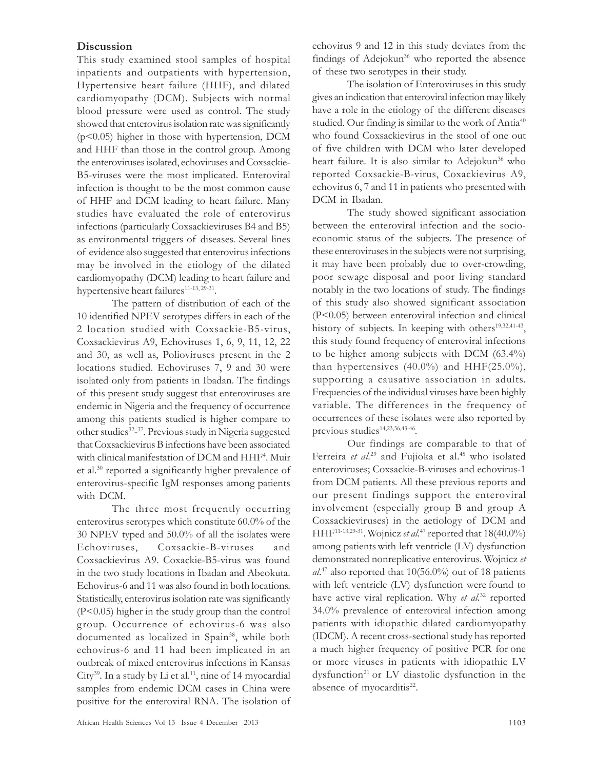#### **Discussion**

This study examined stool samples of hospital inpatients and outpatients with hypertension, Hypertensive heart failure (HHF), and dilated cardiomyopathy (DCM). Subjects with normal blood pressure were used as control. The study showed that enterovirus isolation rate was significantly  $(p<0.05)$  higher in those with hypertension, DCM and HHF than those in the control group. Among the enteroviruses isolated, echoviruses and Coxsackie-B5-viruses were the most implicated. Enteroviral infection is thought to be the most common cause of HHF and DCM leading to heart failure. Many studies have evaluated the role of enterovirus infections (particularly Coxsackieviruses B4 and B5) as environmental triggers of diseases. Several lines of evidence also suggested that enterovirus infections may be involved in the etiology of the dilated cardiomyopathy (DCM) leading to heart failure and hypertensive heart failures<sup>11-13, 29-31</sup>.

The pattern of distribution of each of the 10 identified NPEV serotypes differs in each of the 2 location studied with Coxsackie-B5-virus, Coxsackievirus A9, Echoviruses 1, 6, 9, 11, 12, 22 and 30, as well as, Polioviruses present in the 2 locations studied. Echoviruses 7, 9 and 30 were isolated only from patients in Ibadan. The findings of this present study suggest that enteroviruses are endemic in Nigeria and the frequency of occurrence among this patients studied is higher compare to other studies<sup>32</sup>-<sup>37</sup>. Previous study in Nigeria suggested that Coxsackievirus B infections have been associated with clinical manifestation of DCM and HHF<sup>4</sup>. Muir et al.<sup>30</sup> reported a significantly higher prevalence of enterovirus-specific IgM responses among patients with DCM.

The three most frequently occurring enterovirus serotypes which constitute 60.0% of the 30 NPEV typed and 50.0% of all the isolates were Echoviruses, Coxsackie-B-viruses and Coxsackievirus A9. Coxackie-B5-virus was found in the two study locations in Ibadan and Abeokuta. Echovirus-6 and 11 was also found in both locations. Statistically, enterovirus isolation rate was significantly (P<0.05) higher in the study group than the control group. Occurrence of echovirus-6 was also documented as localized in Spain<sup>38</sup>, while both echovirus-6 and 11 had been implicated in an outbreak of mixed enterovirus infections in Kansas City<sup>39</sup>. In a study by Li et al.<sup>11</sup>, nine of 14 myocardial samples from endemic DCM cases in China were positive for the enteroviral RNA. The isolation of echovirus 9 and 12 in this study deviates from the findings of Adejokun<sup>36</sup> who reported the absence of these two serotypes in their study.

The isolation of Enteroviruses in this study gives an indication that enteroviral infection may likely have a role in the etiology of the different diseases studied. Our finding is similar to the work of Antia<sup>40</sup> who found Coxsackievirus in the stool of one out of five children with DCM who later developed heart failure. It is also similar to Adejokun<sup>36</sup> who reported Coxsackie-B-virus, Coxackievirus A9, echovirus 6, 7 and 11 in patients who presented with DCM in Ibadan.

The study showed significant association between the enteroviral infection and the socioeconomic status of the subjects. The presence of these enteroviruses in the subjects were not surprising, it may have been probably due to over-crowding, poor sewage disposal and poor living standard notably in the two locations of study. The findings of this study also showed significant association (P<0.05) between enteroviral infection and clinical history of subjects. In keeping with others<sup>19,32,41-43</sup>, this study found frequency of enteroviral infections to be higher among subjects with DCM (63.4%) than hypertensives  $(40.0\%)$  and HHF $(25.0\%)$ , supporting a causative association in adults. Frequencies of the individual viruses have been highly variable. The differences in the frequency of occurrences of these isolates were also reported by previous studies<sup>14,23,36,43-46</sup>.

Our findings are comparable to that of Ferreira et al.<sup>29</sup> and Fujioka et al.<sup>45</sup> who isolated enteroviruses; Coxsackie-B-viruses and echovirus-1 from DCM patients. All these previous reports and our present findings support the enteroviral involvement (especially group B and group A Coxsackieviruses) in the aetiology of DCM and HHF<sup>11-13,29-31</sup>. Wojnicz *et al*.<sup>47</sup> reported that 18(40.0%) among patientswith left ventricle (LV) dysfunction demonstrated nonreplicative enterovirus. Wojnicz et al.<sup>47</sup> also reported that 10(56.0%) out of 18 patients with left ventricle (LV) dysfunction were found to have active viral replication. Why *et al.*<sup>32</sup> reported 34.0% prevalence of enteroviral infection among patients with idiopathic dilated cardiomyopathy (IDCM). A recent cross-sectional study has reported a much higher frequency of positive PCR for one or more viruses in patients with idiopathic LV dysfunction $21$  or LV diastolic dysfunction in the absence of myocarditis<sup>22</sup>.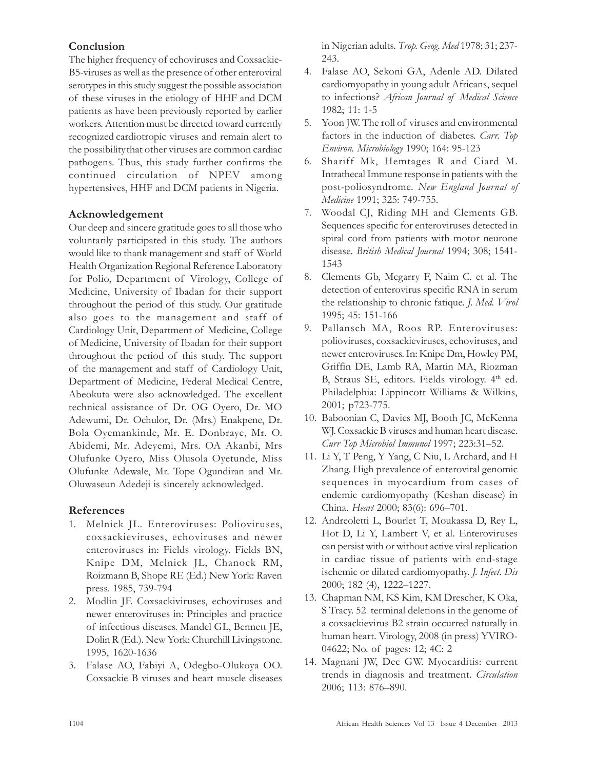# **Conclusion**

The higher frequency of echoviruses and Coxsackie-B5-viruses as well as the presence of other enteroviral serotypes in this study suggest the possible association of these viruses in the etiology of HHF and DCM patients as have been previously reported by earlier workers. Attention must be directed toward currently recognized cardiotropic viruses and remain alert to the possibility that other viruses are common cardiac pathogens. Thus, this study further confirms the continued circulation of NPEV among hypertensives, HHF and DCM patients in Nigeria.

# Acknowledgement

Our deep and sincere gratitude goes to all those who voluntarily participated in this study. The authors would like to thank management and staff of World Health Organization Regional Reference Laboratory for Polio, Department of Virology, College of Medicine, University of Ibadan for their support throughout the period of this study. Our gratitude also goes to the management and staff of Cardiology Unit, Department of Medicine, College of Medicine, University of Ibadan for their support throughout the period of this study. The support of the management and staff of Cardiology Unit, Department of Medicine, Federal Medical Centre, Abeokuta were also acknowledged. The excellent technical assistance of Dr. OG Oyero, Dr. MO Adewumi, Dr. Ochulor, Dr. (Mrs.) Enakpene, Dr. Bola Oyemankinde, Mr. E. Donbraye, Mr. O. Abidemi, Mr. Adeyemi, Mrs. OA Akanbi, Mrs Olufunke Oyero, Miss Olusola Oyetunde, Miss Olufunke Adewale, Mr. Tope Ogundiran and Mr. Oluwaseun Adedeji is sincerely acknowledged.

# References

- 1. Melnick JL. Enteroviruses: Polioviruses, coxsackieviruses, echoviruses and newer enteroviruses in: Fields virology. Fields BN, Knipe DM, Melnick JL, Chanock RM, Roizmann B, Shope RE (Ed.) New York: Raven press. 1985, 739-794
- 2. Modlin JF. Coxsackiviruses, echoviruses and newer enteroviruses in: Principles and practice of infectious diseases. Mandel GL, Bennett JE, Dolin R (Ed.). New York: Churchill Livingstone. 1995, 1620-1636
- 3. Falase AO, Fabiyi A, Odegbo-Olukoya OO. Coxsackie B viruses and heart muscle diseases

in Nigerian adults. Trop. Geog. Med 1978; 31; 237- 243.

- 4. Falase AO, Sekoni GA, Adenle AD. Dilated cardiomyopathy in young adult Africans, sequel to infections? African Journal of Medical Science 1982; 11: 1-5
- 5. Yoon JW. The roll of viruses and environmental factors in the induction of diabetes. Carr. Top Environ. Microbiology 1990; 164: 95-123
- 6. Shariff Mk, Hemtages R and Ciard M. Intrathecal Immune response in patients with the post-poliosyndrome. New England Journal of Medicine 1991; 325: 749-755.
- 7. Woodal CJ, Riding MH and Clements GB. Sequences specific for enteroviruses detected in spiral cord from patients with motor neurone disease. British Medical Journal 1994; 308; 1541- 1543
- 8. Clements Gb, Mcgarry F, Naim C. et al. The detection of enterovirus specific RNA in serum the relationship to chronic fatique. J. Med. Virol 1995; 45: 151-166
- 9. Pallansch MA, Roos RP. Enteroviruses: polioviruses, coxsackieviruses, echoviruses, and newer enteroviruses. In: Knipe Dm, Howley PM, Griffin DE, Lamb RA, Martin MA, Riozman B, Straus SE, editors. Fields virology. 4<sup>th</sup> ed. Philadelphia: Lippincott Williams & Wilkins, 2001; p723-775.
- 10. Baboonian C, Davies MJ, Booth JC, McKenna WJ. Coxsackie B viruses and human heart disease. Curr Top Microbiol Immunol 1997; 223:31–52.
- 11. Li Y, T Peng, Y Yang, C Niu, L Archard, and H Zhang. High prevalence of enteroviral genomic sequences in myocardium from cases of endemic cardiomyopathy (Keshan disease) in China. Heart 2000; 83(6): 696–701.
- 12. Andreoletti L, Bourlet T, Moukassa D, Rey L, Hot D, Li Y, Lambert V, et al. Enteroviruses can persist with or without active viral replication in cardiac tissue of patients with end-stage ischemic or dilated cardiomyopathy. J. Infect. Dis 2000; 182 (4), 1222–1227.
- 13. Chapman NM, KS Kim, KM Drescher, K Oka, S Tracy. 52 terminal deletions in the genome of a coxsackievirus B2 strain occurred naturally in human heart. Virology, 2008 (in press) YVIRO-04622; No. of pages: 12; 4C: 2
- 14. Magnani JW, Dec GW. Myocarditis: current trends in diagnosis and treatment. Circulation 2006; 113: 876–890.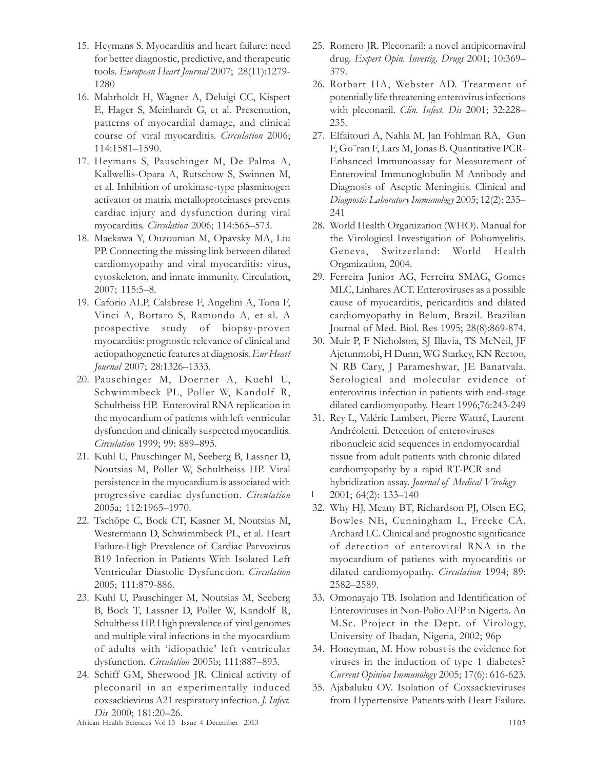- 15. Heymans S. Myocarditis and heart failure: need for better diagnostic, predictive, and therapeutic tools. European Heart Journal 2007; 28(11):1279- 1280
- 16. Mahrholdt H, Wagner A, Deluigi CC, Kispert E, Hager S, Meinhardt G, et al. Presentation, patterns of myocardial damage, and clinical course of viral myocarditis. Circulation 2006; 114:1581–1590.
- 17. Heymans S, Pauschinger M, De Palma A, Kallwellis-Opara A, Rutschow S, Swinnen M, et al. Inhibition of urokinase-type plasminogen activator or matrix metalloproteinases prevents cardiac injury and dysfunction during viral myocarditis. *Circulation* 2006; 114:565-573.
- 18. Maekawa Y, Ouzounian M, Opavsky MA, Liu PP. Connecting the missing link between dilated cardiomyopathy and viral myocarditis: virus, cytoskeleton, and innate immunity. Circulation, 2007; 115:5–8.
- 19. Caforio ALP, Calabrese F, Angelini A, Tona F, Vinci A, Bottaro S, Ramondo A, et al. A prospective study of biopsy-proven myocarditis: prognostic relevance of clinical and aetiopathogenetic features at diagnosis. Eur Heart Journal 2007; 28:1326–1333.
- 20. Pauschinger M, Doerner A, Kuehl U, Schwimmbeck PL, Poller W, Kandolf R, Schultheiss HP. Enteroviral RNA replication in the myocardium of patients with left ventricular dysfunction and clinically suspected myocarditis. Circulation 1999; 99: 889–895.
- 21. Kuhl U, Pauschinger M, Seeberg B, Lassner D, Noutsias M, Poller W, Schultheiss HP. Viral persistence in the myocardium is associated with progressive cardiac dysfunction. Circulation 2005a; 112:1965–1970.
- 22. Tschöpe C, Bock CT, Kasner M, Noutsias M, Westermann D, Schwimmbeck PL, et al. Heart Failure-High Prevalence of Cardiac Parvovirus B19 Infection in Patients With Isolated Left Ventricular Diastolic Dysfunction. Circulation 2005; 111:879-886.
- 23. Kuhl U, Pauschinger M, Noutsias M, Seeberg B, Bock T, Lassner D, Poller W, Kandolf R, Schultheiss HP. High prevalence of viral genomes and multiple viral infections in the myocardium of adults with 'idiopathic' left ventricular dysfunction. Circulation 2005b; 111:887–893.
- 24. Schiff GM, Sherwood JR. Clinical activity of pleconaril in an experimentally induced coxsackievirus A21 respiratory infection. J. Infect. Dis 2000; 181:20–26.
- 25. Romero JR. Pleconaril: a novel antipicornaviral drug. Expert Opin. Investig. Drugs 2001; 10:369-379.
- 26. Rotbart HA, Webster AD. Treatment of potentially life threatening enterovirus infections with pleconaril. *Clin. Infect. Dis* 2001; 32:228– 235.
- 27. Elfaitouri A, Nahla M, Jan Fohlman RA, Gun F, Go¨ran F, Lars M, Jonas B. Quantitative PCR-Enhanced Immunoassay for Measurement of Enteroviral Immunoglobulin M Antibody and Diagnosis of Aseptic Meningitis. Clinical and Diagnostic Laboratory Immunology 2005; 12(2): 235– 241
- 28. World Health Organization (WHO). Manual for the Virological Investigation of Poliomyelitis. Geneva, Switzerland: World Health Organization, 2004.
- 29. Ferreira Junior AG, Ferreira SMAG, Gomes MLC, Linhares ACT. Enteroviruses as a possible cause of myocarditis, pericarditis and dilated cardiomyopathy in Belum, Brazil. Brazilian Journal of Med. Biol. Res 1995; 28(8):869-874.
- 30. Muir P, F Nicholson, SJ Illavia, TS McNeil, JF Ajetunmobi, H Dunn, WG Starkey, KN Reetoo, N RB Cary, J Parameshwar, JE Banatvala. Serological and molecular evidence of enterovirus infection in patients with end-stage dilated cardiomyopathy. Heart 1996;76:243-249
- 31. Rey L, Valérie Lambert, Pierre Wattré, Laurent Andréoletti. Detection of enteroviruses ribonucleic acid sequences in endomyocardial tissue from adult patients with chronic dilated cardiomyopathy by a rapid RT-PCR and hybridization assay. Journal of Medical Virology
- $\mathbb{L}$ 2001; 64(2): 133–140
- 32. Why HJ, Meany BT, Richardson PJ, Olsen EG, Bowles NE, Cunningham L, Freeke CA, Archard LC. Clinical and prognostic significance of detection of enteroviral RNA in the myocardium of patients with myocarditis or dilated cardiomyopathy. Circulation 1994; 89: 2582–2589.
- 33. Omonayajo TB. Isolation and Identification of Enteroviruses in Non-Polio AFP in Nigeria. An M.Sc. Project in the Dept. of Virology, University of Ibadan, Nigeria, 2002; 96p
- 34. Honeyman, M. How robust is the evidence for viruses in the induction of type 1 diabetes? Current Opinion Immunology 2005; 17(6): 616-623.
- 35. Ajabaluku OV. Isolation of Coxsackieviruses from Hypertensive Patients with Heart Failure.

African Health Sciences Vol 13 Issue 4 December 2013 1105